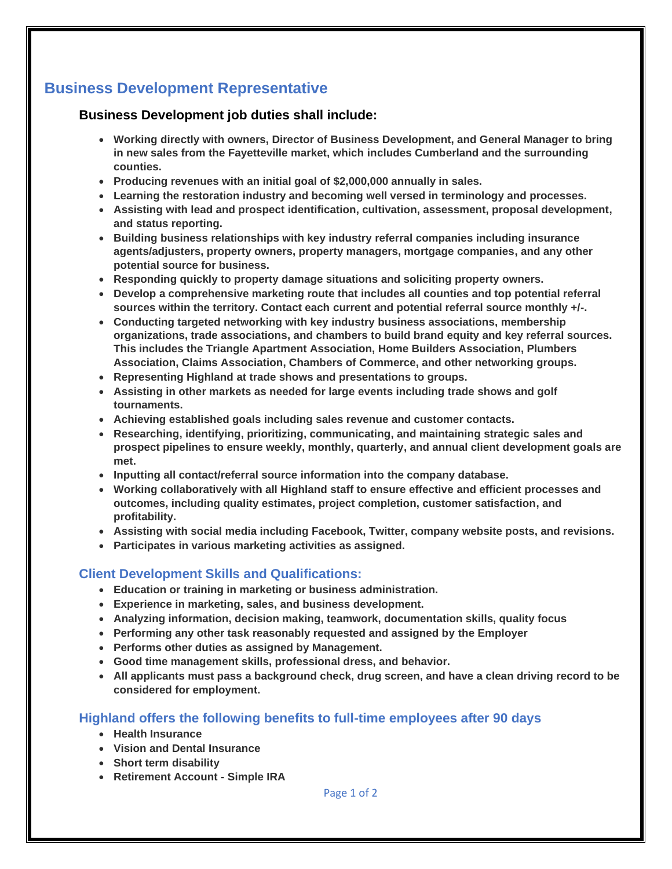## **Business Development Representative**

## **Business Development job duties shall include:**

- **Working directly with owners, Director of Business Development, and General Manager to bring in new sales from the Fayetteville market, which includes Cumberland and the surrounding counties.**
- **Producing revenues with an initial goal of \$2,000,000 annually in sales.**
- **Learning the restoration industry and becoming well versed in terminology and processes.**
- **Assisting with lead and prospect identification, cultivation, assessment, proposal development, and status reporting.**
- **Building business relationships with key industry referral companies including insurance agents/adjusters, property owners, property managers, mortgage companies, and any other potential source for business.**
- **Responding quickly to property damage situations and soliciting property owners.**
- **Develop a comprehensive marketing route that includes all counties and top potential referral sources within the territory. Contact each current and potential referral source monthly +/-.**
- **Conducting targeted networking with key industry business associations, membership organizations, trade associations, and chambers to build brand equity and key referral sources. This includes the Triangle Apartment Association, Home Builders Association, Plumbers Association, Claims Association, Chambers of Commerce, and other networking groups.**
- **Representing Highland at trade shows and presentations to groups.**
- **Assisting in other markets as needed for large events including trade shows and golf tournaments.**
- **Achieving established goals including sales revenue and customer contacts.**
- **Researching, identifying, prioritizing, communicating, and maintaining strategic sales and prospect pipelines to ensure weekly, monthly, quarterly, and annual client development goals are met.**
- **Inputting all contact/referral source information into the company database.**
- **Working collaboratively with all Highland staff to ensure effective and efficient processes and outcomes, including quality estimates, project completion, customer satisfaction, and profitability.**
- **Assisting with social media including Facebook, Twitter, company website posts, and revisions.**
- **Participates in various marketing activities as assigned.**

## **Client Development Skills and Qualifications:**

- **Education or training in marketing or business administration.**
- **Experience in marketing, sales, and business development.**
- **Analyzing information, decision making, teamwork, documentation skills, quality focus**
- **Performing any other task reasonably requested and assigned by the Employer**
- **Performs other duties as assigned by Management.**
- **Good time management skills, professional dress, and behavior.**
- **All applicants must pass a background check, drug screen, and have a clean driving record to be considered for employment.**

## **Highland offers the following benefits to full-time employees after 90 days**

- **Health Insurance**
- **Vision and Dental Insurance**
- **Short term disability**
- **Retirement Account - Simple IRA**

Page 1 of 2